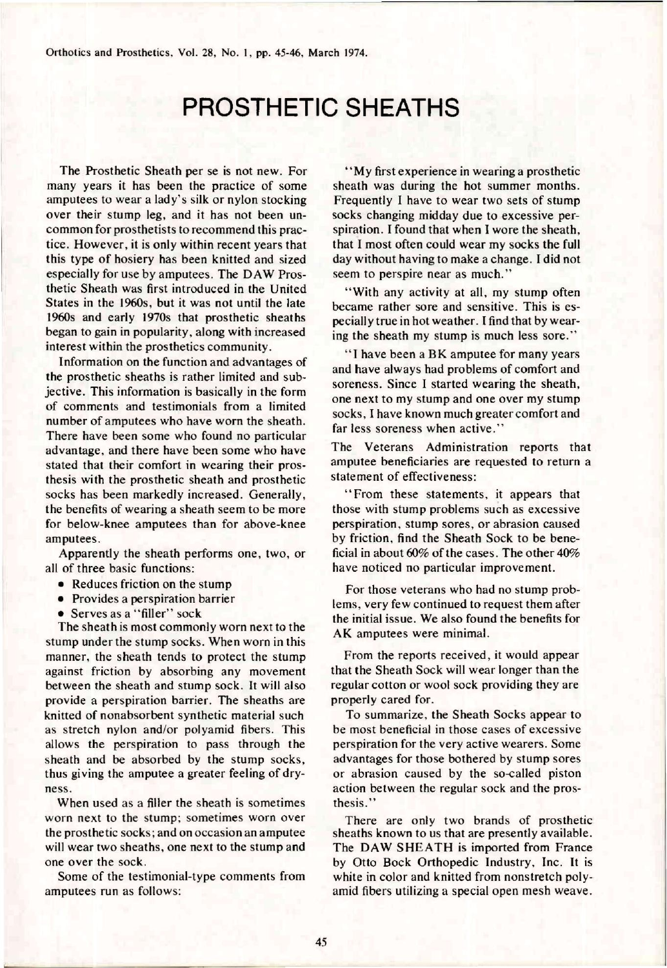## PROSTHETIC SHEATHS

The Prosthetic Sheath per se is not new. For many years it has been the practice of some amputees to wear a lady's silk or nylon stocking over their stump leg, and it has not been uncommon for prosthetists to recommend this practice. However, it is only within recent years that this type of hosiery has been knitted and sized especially for use by amputees. The DAW Prosthetic Sheath was first introduced in the United States in the 1960s, but it was not until the late 1960s and early 1970s that prosthetic sheaths began to gain in popularity, along with increased interest within the prosthetics community.

Information on the function and advantages of the prosthetic sheaths is rather limited and subjective. This information is basically in the form of comments and testimonials from a limited number of amputees who have worn the sheath. There have been some who found no particular advantage, and there have been some who have stated that their comfort in wearing their prosthesis with the prosthetic sheath and prosthetic socks has been markedly increased. Generally, the benefits of wearing a sheath seem to be more for below-knee amputees than for above-knee amputees.

Apparently the sheath performs one, two, or all of three basic functions:

- Reduces friction on the stump
- Provides a perspiration barrier
- Serves as a "filler" sock

The sheath is most commonly worn next to the stump under the stump socks. When worn in this manner, the sheath tends to protect the stump against friction by absorbing any movement between the sheath and stump sock. It will also provide a perspiration barrier. The sheaths are knitted of nonabsorbent synthetic material such as stretch nylon and/or polyamid fibers. This allows the perspiration to pass through the sheath and be absorbed by the stump socks, thus giving the amputee a greater feeling of dryness.

When used as a filler the sheath is sometimes worn next to the stump; sometimes worn over the prosthetic socks; and on occasion an amputee will wear two sheaths, one next to the stump and one over the sock.

Some of the testimonial-type comments from amputees run as follows:

"My first experience in wearing a prosthetic sheath was during the hot summer months. Frequently I have to wear two sets of stump socks changing midday due to excessive perspiration. I found that when I wore the sheath, **that** I most often could **wear** my socks **the** full day without having to make a change. I did not seem to perspire near as much."

"With any activity at all, my stump often became rather sore and sensitive. This is especially true in hot weather. I find that by wearing the sheath my stump is much less sore."

" I have been a BK amputee for many years and have always had problems of comfort and soreness. Since I started wearing the sheath, one next to my stump and one over my stump socks, I have known much greater comfort and far less soreness when active."

The Veterans Administration reports that amputee beneficiaries are requested to return a statement of effectiveness:

"From these statements, it appears that those with stump problems such as excessive perspiration, stump sores, or abrasion caused by friction, find the Sheath Sock to be beneficial in about 60% of the cases. The other 40% have noticed no particular improvement.

For those veterans who had no stump problems, very few continued to request them after the initial issue. We also found the benefits for AK amputees were minimal.

From the reports received, it would appear that the Sheath Sock will wear longer than the regular cotton or wool sock providing they are properly cared for.

To summarize, the Sheath Socks appear to be most beneficial in those cases of excessive perspiration for the very active wearers. Some advantages for those bothered by stump sores or abrasion caused by the so-called piston action between the regular sock and the prosthesis."

There are only two brands of prosthetic sheaths known to us that are presently available. The DAW SHEATH is imported from France by Otto Bock Orthopedic Industry, Inc. It is white in color and knitted from nonstretch polyamid fibers utilizing a special open mesh weave.